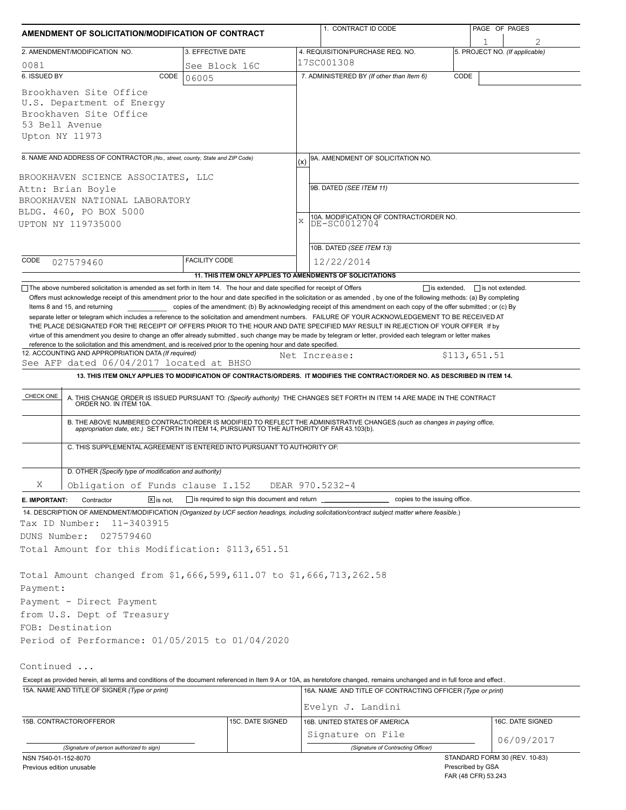| AMENDMENT OF SOLICITATION/MODIFICATION OF CONTRACT                                                                                                                                                                                                                                                                        |                      |                                                            |                                                                                                | 1. CONTRACT ID CODE                                                                                                                                                                                                                                                                                                                                                                                                                                                                                                       |      | PAGE OF PAGES                        |  |  |
|---------------------------------------------------------------------------------------------------------------------------------------------------------------------------------------------------------------------------------------------------------------------------------------------------------------------------|----------------------|------------------------------------------------------------|------------------------------------------------------------------------------------------------|---------------------------------------------------------------------------------------------------------------------------------------------------------------------------------------------------------------------------------------------------------------------------------------------------------------------------------------------------------------------------------------------------------------------------------------------------------------------------------------------------------------------------|------|--------------------------------------|--|--|
| 2. AMENDMENT/MODIFICATION NO.                                                                                                                                                                                                                                                                                             |                      | 3. EFFECTIVE DATE                                          |                                                                                                | 4. REQUISITION/PURCHASE REQ. NO.                                                                                                                                                                                                                                                                                                                                                                                                                                                                                          |      | 1<br>5. PROJECT NO. (If applicable)  |  |  |
| 0081                                                                                                                                                                                                                                                                                                                      |                      | See Block 16C                                              |                                                                                                | 17SC001308                                                                                                                                                                                                                                                                                                                                                                                                                                                                                                                |      |                                      |  |  |
| 6. ISSUED BY                                                                                                                                                                                                                                                                                                              | CODE<br>06005        |                                                            |                                                                                                | 7. ADMINISTERED BY (If other than Item 6)                                                                                                                                                                                                                                                                                                                                                                                                                                                                                 | CODE |                                      |  |  |
| Brookhaven Site Office<br>U.S. Department of Energy<br>Brookhaven Site Office<br>53 Bell Avenue<br>Upton NY 11973                                                                                                                                                                                                         |                      |                                                            |                                                                                                |                                                                                                                                                                                                                                                                                                                                                                                                                                                                                                                           |      |                                      |  |  |
| 8. NAME AND ADDRESS OF CONTRACTOR (No., street, county, State and ZIP Code)                                                                                                                                                                                                                                               |                      |                                                            |                                                                                                | 9A. AMENDMENT OF SOLICITATION NO.                                                                                                                                                                                                                                                                                                                                                                                                                                                                                         |      |                                      |  |  |
| BROOKHAVEN SCIENCE ASSOCIATES, LLC<br>Attn: Brian Boyle<br>BROOKHAVEN NATIONAL LABORATORY<br>BLDG. 460, PO BOX 5000<br>UPTON NY 119735000                                                                                                                                                                                 |                      |                                                            | (x)<br>9B. DATED (SEE ITEM 11)<br>10A. MODIFICATION OF CONTRACT/ORDER NO.<br>X<br>DE-SC0012704 |                                                                                                                                                                                                                                                                                                                                                                                                                                                                                                                           |      |                                      |  |  |
|                                                                                                                                                                                                                                                                                                                           |                      |                                                            |                                                                                                | 10B. DATED (SEE ITEM 13)                                                                                                                                                                                                                                                                                                                                                                                                                                                                                                  |      |                                      |  |  |
| CODE<br>027579460                                                                                                                                                                                                                                                                                                         | <b>FACILITY CODE</b> |                                                            |                                                                                                | 12/22/2014                                                                                                                                                                                                                                                                                                                                                                                                                                                                                                                |      |                                      |  |  |
|                                                                                                                                                                                                                                                                                                                           |                      |                                                            |                                                                                                | 11. THIS ITEM ONLY APPLIES TO AMENDMENTS OF SOLICITATIONS                                                                                                                                                                                                                                                                                                                                                                                                                                                                 |      |                                      |  |  |
| See AFP dated 06/04/2017 located at BHSO<br>CHECK ONE                                                                                                                                                                                                                                                                     |                      |                                                            |                                                                                                | Net Increase:<br>13. THIS ITEM ONLY APPLIES TO MODIFICATION OF CONTRACTS/ORDERS. IT MODIFIES THE CONTRACT/ORDER NO. AS DESCRIBED IN ITEM 14.<br>A. THIS CHANGE ORDER IS ISSUED PURSUANT TO: (Specify authority) THE CHANGES SET FORTH IN ITEM 14 ARE MADE IN THE CONTRACT ORDER NO. IN ITEM 10A.<br>B. THE ABOVE NUMBERED CONTRACT/ORDER IS MODIFIED TO REFLECT THE ADMINISTRATIVE CHANGES (such as changes in paying office, appropriation date, etc.) SET FORTH IN ITEM 14, PURSUANT TO THE AUTHORITY OF FAR 43.103(b). |      | \$113,651.51                         |  |  |
| C. THIS SUPPLEMENTAL AGREEMENT IS ENTERED INTO PURSUANT TO AUTHORITY OF:                                                                                                                                                                                                                                                  |                      |                                                            |                                                                                                |                                                                                                                                                                                                                                                                                                                                                                                                                                                                                                                           |      |                                      |  |  |
| D. OTHER (Specify type of modification and authority)                                                                                                                                                                                                                                                                     |                      |                                                            |                                                                                                |                                                                                                                                                                                                                                                                                                                                                                                                                                                                                                                           |      |                                      |  |  |
| X<br>Obligation of Funds clause I.152                                                                                                                                                                                                                                                                                     |                      |                                                            |                                                                                                | DEAR 970.5232-4                                                                                                                                                                                                                                                                                                                                                                                                                                                                                                           |      |                                      |  |  |
| $ \overline{x} $ is not.<br>E. IMPORTANT:<br>Contractor<br>14. DESCRIPTION OF AMENDMENT/MODIFICATION (Organized by UCF section headings, including solicitation/contract subject matter where feasible.)<br>11-3403915<br>Tax ID Number:<br>DUNS Number:<br>027579460<br>Total Amount for this Modification: \$113,651.51 |                      | $\Box$ is required to sign this document and return $\Box$ |                                                                                                | copies to the issuing office.                                                                                                                                                                                                                                                                                                                                                                                                                                                                                             |      |                                      |  |  |
| Total Amount changed from \$1,666,599,611.07 to \$1,666,713,262.58<br>Payment:<br>Payment - Direct Payment<br>from U.S. Dept of Treasury<br>FOB: Destination<br>Period of Performance: 01/05/2015 to 01/04/2020                                                                                                           |                      |                                                            |                                                                                                |                                                                                                                                                                                                                                                                                                                                                                                                                                                                                                                           |      |                                      |  |  |
| Continued                                                                                                                                                                                                                                                                                                                 |                      |                                                            |                                                                                                |                                                                                                                                                                                                                                                                                                                                                                                                                                                                                                                           |      |                                      |  |  |
| Except as provided herein, all terms and conditions of the document referenced in Item 9 A or 10A, as heretofore changed, remains unchanged and in full force and effect.                                                                                                                                                 |                      |                                                            |                                                                                                |                                                                                                                                                                                                                                                                                                                                                                                                                                                                                                                           |      |                                      |  |  |
| 15A. NAME AND TITLE OF SIGNER (Type or print)                                                                                                                                                                                                                                                                             |                      |                                                            |                                                                                                | 16A. NAME AND TITLE OF CONTRACTING OFFICER (Type or print)                                                                                                                                                                                                                                                                                                                                                                                                                                                                |      |                                      |  |  |
|                                                                                                                                                                                                                                                                                                                           |                      |                                                            |                                                                                                | Evelyn J. Landini                                                                                                                                                                                                                                                                                                                                                                                                                                                                                                         |      |                                      |  |  |
| 15B. CONTRACTOR/OFFEROR                                                                                                                                                                                                                                                                                                   |                      | 15C. DATE SIGNED                                           |                                                                                                | 16B. UNITED STATES OF AMERICA                                                                                                                                                                                                                                                                                                                                                                                                                                                                                             |      | 16C. DATE SIGNED                     |  |  |
|                                                                                                                                                                                                                                                                                                                           |                      |                                                            |                                                                                                | Signature on File                                                                                                                                                                                                                                                                                                                                                                                                                                                                                                         |      | 06/09/2017                           |  |  |
| (Signature of person authorized to sign)                                                                                                                                                                                                                                                                                  |                      |                                                            |                                                                                                | (Signature of Contracting Officer)                                                                                                                                                                                                                                                                                                                                                                                                                                                                                        |      | STANDARD FORM 30 (REV. 10-83)        |  |  |
| NSN 7540-01-152-8070<br>Previous edition unusable                                                                                                                                                                                                                                                                         |                      |                                                            |                                                                                                |                                                                                                                                                                                                                                                                                                                                                                                                                                                                                                                           |      | Prescribed by GSA<br>TAD(400T)E20042 |  |  |

FAR (48 CFR) 53.243